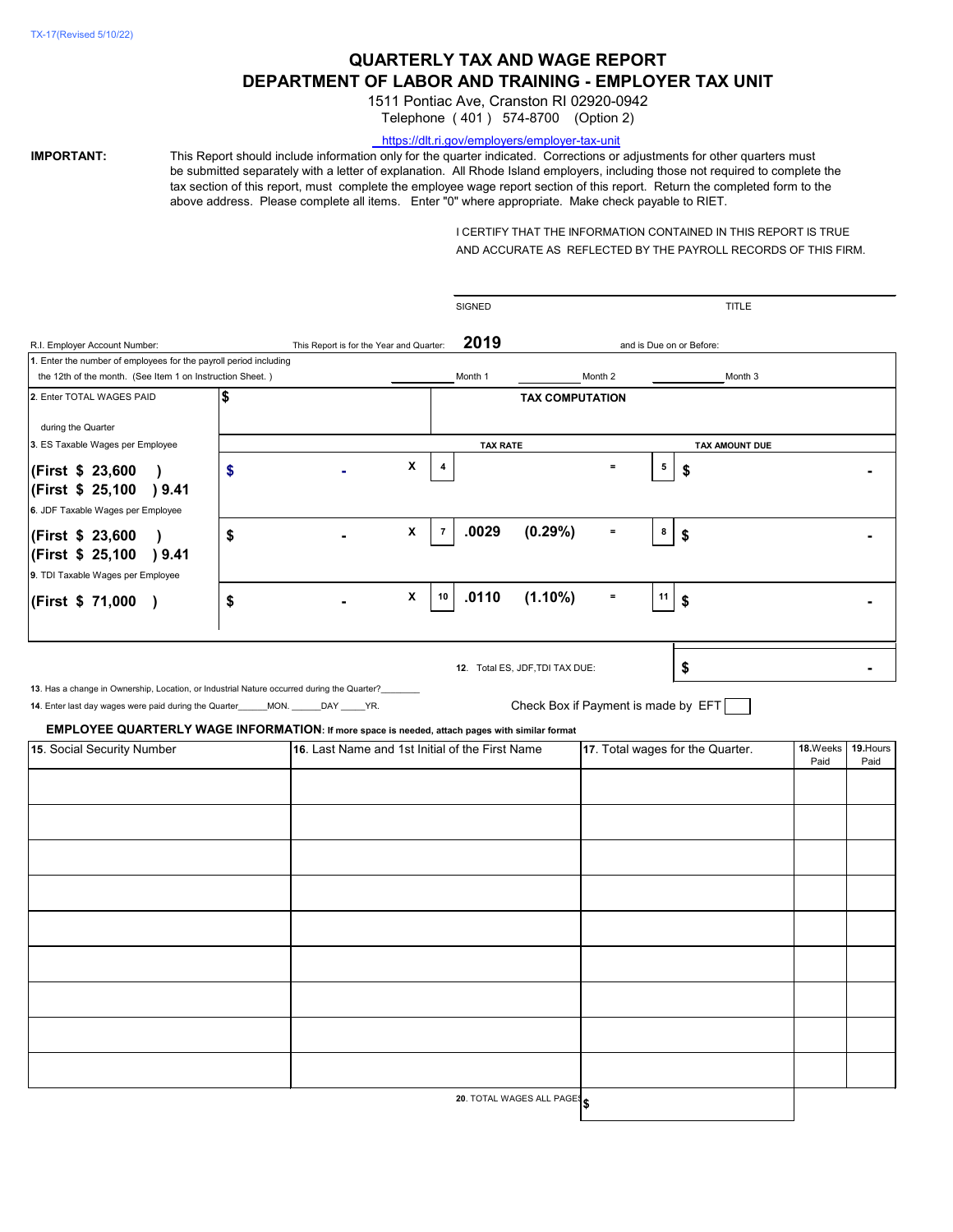# **QUARTERLY TAX AND WAGE REPORT DEPARTMENT OF LABOR AND TRAINING - EMPLOYER TAX UNIT**

1511 Pontiac Ave, Cranston RI 02920-0942

Telephone ( 401 ) 574-8700 (Option 2)

#### <https://dlt.ri.gov/employers/employer-tax-unit>

**IMPORTANT:** This Report should include information only for the quarter indicated. Corrections or adjustments for other quarters must be submitted separately with a letter of explanation. All Rhode Island employers, including those not required to complete the tax section of this report, must complete the employee wage report section of this report. Return the completed form to the above address. Please complete all items. Enter "0" where appropriate. Make check payable to RIET.

> I CERTIFY THAT THE INFORMATION CONTAINED IN THIS REPORT IS TRUE AND ACCURATE AS REFLECTED BY THE PAYROLL RECORDS OF THIS FIRM.

|                                                                                                |                                          |                                                 |                | <b>SIGNED</b>   | <b>TITLE</b>                    |                                  |    |                                     |          |           |  |
|------------------------------------------------------------------------------------------------|------------------------------------------|-------------------------------------------------|----------------|-----------------|---------------------------------|----------------------------------|----|-------------------------------------|----------|-----------|--|
| R.I. Employer Account Number:                                                                  | This Report is for the Year and Quarter: |                                                 |                | 2019            | and is Due on or Before:        |                                  |    |                                     |          |           |  |
| 1. Enter the number of employees for the payroll period including                              |                                          |                                                 |                |                 |                                 |                                  |    |                                     |          |           |  |
| the 12th of the month. (See Item 1 on Instruction Sheet.)                                      |                                          |                                                 |                | Month 1         |                                 | Month 2                          |    | Month 3                             |          |           |  |
| 2. Enter TOTAL WAGES PAID                                                                      | \$                                       |                                                 |                |                 | <b>TAX COMPUTATION</b>          |                                  |    |                                     |          |           |  |
| during the Quarter                                                                             |                                          |                                                 |                |                 |                                 |                                  |    |                                     |          |           |  |
| 3. ES Taxable Wages per Employee                                                               |                                          |                                                 |                | <b>TAX RATE</b> |                                 |                                  |    | TAX AMOUNT DUE                      |          |           |  |
|                                                                                                |                                          |                                                 |                |                 |                                 |                                  |    |                                     |          |           |  |
| <b>First \$ 23,600</b> )                                                                       | \$                                       | X                                               | 4              |                 |                                 | $\equiv$                         | 5  | \$                                  |          |           |  |
| (First \$ 25,100 ) 9.41                                                                        |                                          |                                                 |                |                 |                                 |                                  |    |                                     |          |           |  |
| 6. JDF Taxable Wages per Employee                                                              |                                          |                                                 |                |                 |                                 |                                  |    |                                     |          |           |  |
| <b>First \$ 23,600</b> )                                                                       | \$                                       | X                                               | $\overline{7}$ | .0029           | (0.29%)                         | $\equiv$                         | 8  | \$                                  |          |           |  |
| (First \$ 25,100<br>)9.41                                                                      |                                          |                                                 |                |                 |                                 |                                  |    |                                     |          |           |  |
| 9. TDI Taxable Wages per Employee                                                              |                                          |                                                 |                |                 |                                 |                                  |    |                                     |          |           |  |
|                                                                                                |                                          | $\boldsymbol{\mathsf{X}}$                       | 10             | .0110           | $(1.10\%)$                      | $\equiv$                         | 11 |                                     |          |           |  |
| (First \$ 71,000 )                                                                             | \$                                       |                                                 |                |                 |                                 |                                  |    | \$                                  |          |           |  |
|                                                                                                |                                          |                                                 |                |                 |                                 |                                  |    |                                     |          |           |  |
|                                                                                                |                                          |                                                 |                |                 |                                 |                                  |    |                                     |          |           |  |
|                                                                                                |                                          |                                                 |                |                 | 12. Total ES, JDF, TDI TAX DUE: |                                  |    | \$                                  |          |           |  |
| 13. Has a change in Ownership, Location, or Industrial Nature occurred during the Quarter?     |                                          |                                                 |                |                 |                                 |                                  |    |                                     |          |           |  |
| 14. Enter last day wages were paid during the Quarter______MON. ______DAY _____YR.             |                                          |                                                 |                |                 |                                 |                                  |    | Check Box if Payment is made by EFT |          |           |  |
| EMPLOYEE QUARTERLY WAGE INFORMATION: If more space is needed, attach pages with similar format |                                          |                                                 |                |                 |                                 |                                  |    |                                     |          |           |  |
| 15. Social Security Number                                                                     |                                          | 16. Last Name and 1st Initial of the First Name |                |                 |                                 | 17. Total wages for the Quarter. |    |                                     | 18.Weeks | 19. Hours |  |
|                                                                                                |                                          |                                                 |                |                 |                                 |                                  |    |                                     | Paid     | Paid      |  |
|                                                                                                |                                          |                                                 |                |                 |                                 |                                  |    |                                     |          |           |  |
|                                                                                                |                                          |                                                 |                |                 |                                 |                                  |    |                                     |          |           |  |
|                                                                                                |                                          |                                                 |                |                 |                                 |                                  |    |                                     |          |           |  |
|                                                                                                |                                          |                                                 |                |                 |                                 |                                  |    |                                     |          |           |  |
|                                                                                                |                                          |                                                 |                |                 |                                 |                                  |    |                                     |          |           |  |
|                                                                                                |                                          |                                                 |                |                 |                                 |                                  |    |                                     |          |           |  |
|                                                                                                |                                          |                                                 |                |                 |                                 |                                  |    |                                     |          |           |  |
|                                                                                                |                                          |                                                 |                |                 |                                 |                                  |    |                                     |          |           |  |
|                                                                                                |                                          |                                                 |                |                 |                                 |                                  |    |                                     |          |           |  |
|                                                                                                |                                          |                                                 |                |                 |                                 |                                  |    |                                     |          |           |  |
|                                                                                                |                                          |                                                 |                |                 |                                 |                                  |    |                                     |          |           |  |
|                                                                                                |                                          |                                                 |                |                 |                                 |                                  |    |                                     |          |           |  |
|                                                                                                |                                          |                                                 |                |                 |                                 |                                  |    |                                     |          |           |  |
|                                                                                                |                                          |                                                 |                |                 |                                 |                                  |    |                                     |          |           |  |
|                                                                                                |                                          |                                                 |                |                 |                                 |                                  |    |                                     |          |           |  |
|                                                                                                |                                          |                                                 |                |                 |                                 |                                  |    |                                     |          |           |  |
|                                                                                                |                                          |                                                 |                |                 |                                 |                                  |    |                                     |          |           |  |

**20**. TOTAL WAGES ALL PAGES **\$**